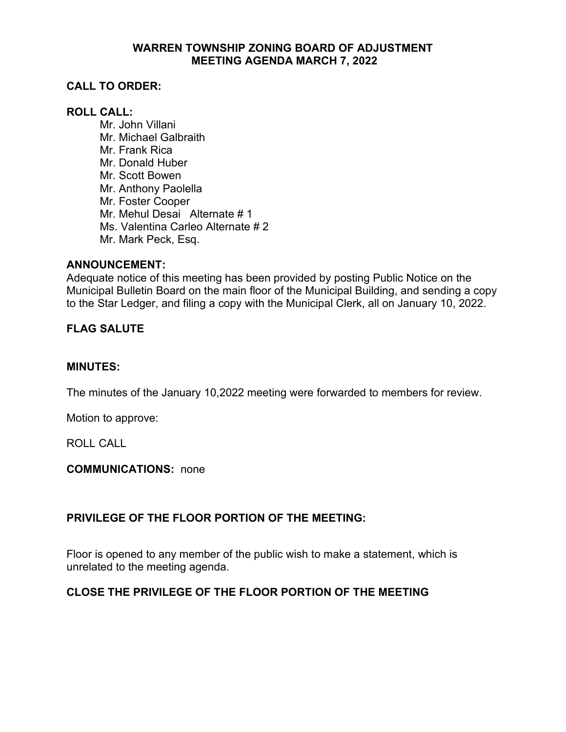## **WARREN TOWNSHIP ZONING BOARD OF ADJUSTMENT MEETING AGENDA MARCH 7, 2022**

# **CALL TO ORDER:**

## **ROLL CALL:**

Mr. John Villani Mr. Michael Galbraith Mr. Frank Rica Mr. Donald Huber Mr. Scott Bowen Mr. Anthony Paolella Mr. Foster Cooper Mr. Mehul Desai Alternate # 1 Ms. Valentina Carleo Alternate # 2 Mr. Mark Peck, Esq.

#### **ANNOUNCEMENT:**

Adequate notice of this meeting has been provided by posting Public Notice on the Municipal Bulletin Board on the main floor of the Municipal Building, and sending a copy to the Star Ledger, and filing a copy with the Municipal Clerk, all on January 10, 2022.

### **FLAG SALUTE**

#### **MINUTES:**

The minutes of the January 10,2022 meeting were forwarded to members for review.

Motion to approve:

ROLL CALL

**COMMUNICATIONS:** none

# **PRIVILEGE OF THE FLOOR PORTION OF THE MEETING:**

Floor is opened to any member of the public wish to make a statement, which is unrelated to the meeting agenda.

# **CLOSE THE PRIVILEGE OF THE FLOOR PORTION OF THE MEETING**